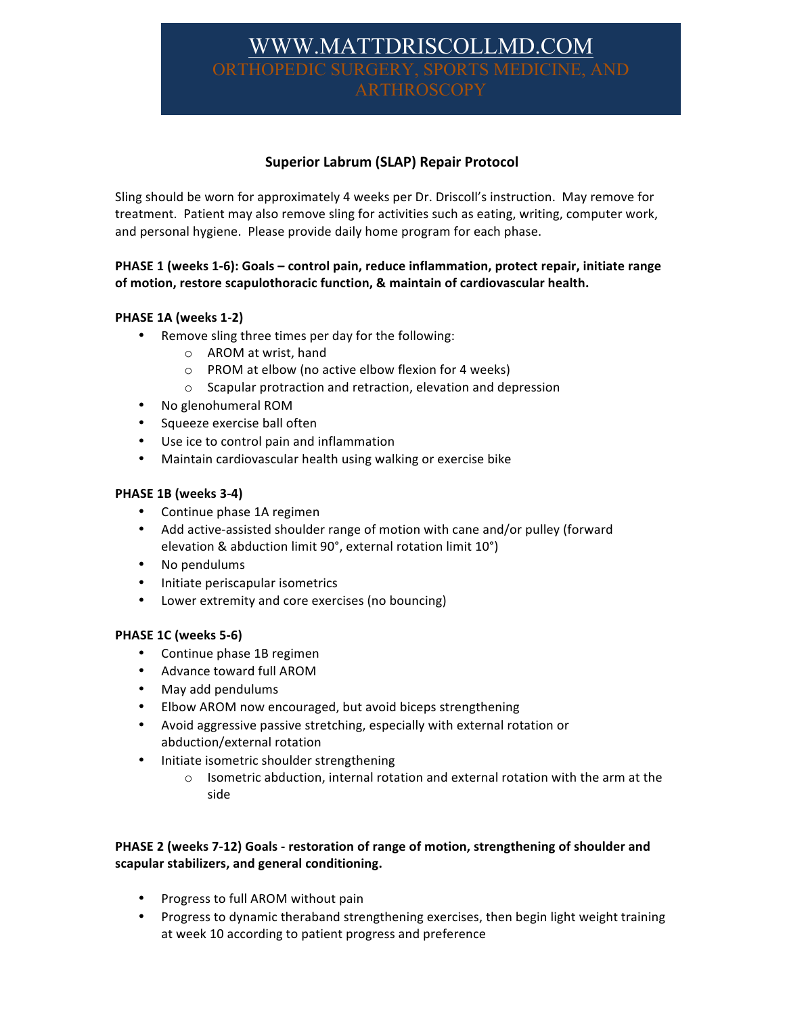# WWW.MATTDRISCOLLMD.COM THOPEDIC SURGERY, SPORTS MEI ARTHROSCOPY

## **Superior Labrum (SLAP) Repair Protocol**

Sling should be worn for approximately 4 weeks per Dr. Driscoll's instruction. May remove for treatment. Patient may also remove sling for activities such as eating, writing, computer work, and personal hygiene. Please provide daily home program for each phase.

## **PHASE 1** (weeks 1-6): Goals – control pain, reduce inflammation, protect repair, initiate range of motion, restore scapulothoracic function, & maintain of cardiovascular health.

## **PHASE 1A (weeks 1-2)**

- Remove sling three times per day for the following:
	- $\circ$  AROM at wrist, hand
	- $\circ$  PROM at elbow (no active elbow flexion for 4 weeks)
	- $\circ$  Scapular protraction and retraction, elevation and depression
- No glenohumeral ROM
- Squeeze exercise ball often
- Use ice to control pain and inflammation
- Maintain cardiovascular health using walking or exercise bike

#### **PHASE 1B (weeks 3-4)**

- Continue phase 1A regimen
- Add active-assisted shoulder range of motion with cane and/or pulley (forward elevation & abduction limit 90°, external rotation limit 10°)
- No pendulums
- Initiate periscapular isometrics
- Lower extremity and core exercises (no bouncing)

#### **PHASE 1C (weeks 5-6)**

- Continue phase 1B regimen
- Advance toward full AROM
- May add pendulums
- Elbow AROM now encouraged, but avoid biceps strengthening
- Avoid aggressive passive stretching, especially with external rotation or abduction/external rotation
- Initiate isometric shoulder strengthening
	- $\circ$  Isometric abduction, internal rotation and external rotation with the arm at the side

## PHASE 2 (weeks 7-12) Goals - restoration of range of motion, strengthening of shoulder and **scapular stabilizers, and general conditioning.**

- Progress to full AROM without pain
- Progress to dynamic theraband strengthening exercises, then begin light weight training at week 10 according to patient progress and preference